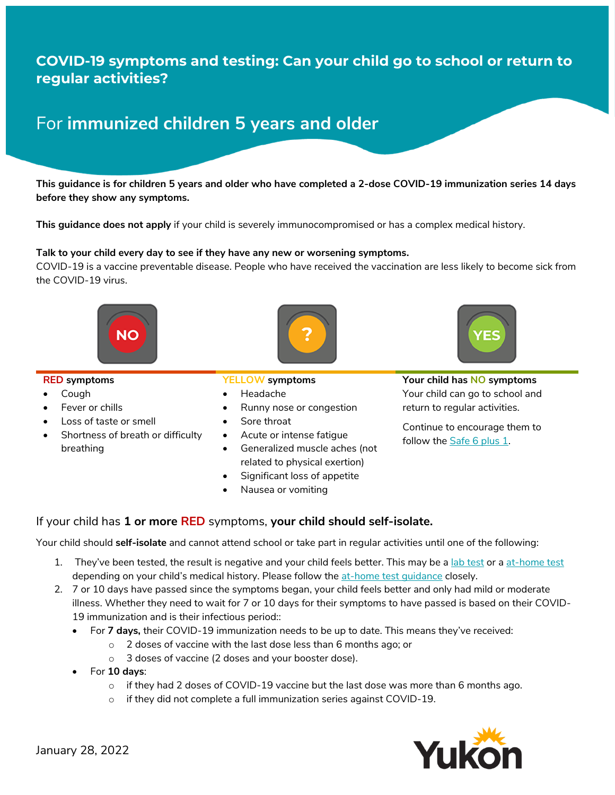## **COVID-19 symptoms and testing: Can your child go to school or return to regular activities?**

# For **immunized children 5 years and older**

**This guidance is for children 5 years and older who have completed a 2-dose COVID-19 immunization series 14 days before they show any symptoms.**

**This guidance does not apply** if your child is severely immunocompromised or has a complex medical history.

### **Talk to your child every day to see if they have any new or worsening symptoms.**

COVID-19 is a vaccine preventable disease. People who have received the vaccination are less likely to become sick from the COVID-19 virus.





### **RED symptoms**

- Cough
- Fever or chills
- Loss of taste or smell
- Shortness of breath or difficulty breathing

### **YELLOW symptoms**

- Headache
- Runny nose or congestion
- Sore throat
- Acute or intense fatigue
- Generalized muscle aches (not related to physical exertion)
- Significant loss of appetite
- Nausea or vomiting

**Your child has NO symptoms** Your child can go to school and return to regular activities.

Continue to encourage them to follow the **Safe 6 plus 1**.

If your child has **1 or more RED** symptoms, **your child should self-isolate.** 

Your child should **self-isolate** and cannot attend school or take part in regular activities until one of the following:

- 1. They've been tested, the result is negative and your child feels better. This may be a [lab test](https://yukon.ca/en/find-respiratory-assessment-centre) or a [at-home test](https://yukon.ca/en/health-and-wellness/covid-19-information/testing-yourself-covid-19) depending on your child's medical history. Please follow the [at-home test guidance](https://yukon.ca/sites/yukon.ca/files/hss/hss-imgs/guidance_for_rapid_antigen_testing_jan-6.pdf) closely.
- 2. 7 or 10 days have passed since the symptoms began, your child feels better and only had mild or moderate illness. Whether they need to wait for 7 or 10 days for their symptoms to have passed is based on their COVID-19 immunization and is their infectious period::
	- For **7 days,** their COVID-19 immunization needs to be up to date. This means they've received:
		- o 2 doses of vaccine with the last dose less than 6 months ago; or
		- o 3 doses of vaccine (2 doses and your booster dose).
	- For **10 days**:
		- $\circ$  if they had 2 doses of COVID-19 vaccine but the last dose was more than 6 months ago.
		- $\circ$  if they did not complete a full immunization series against COVID-19.

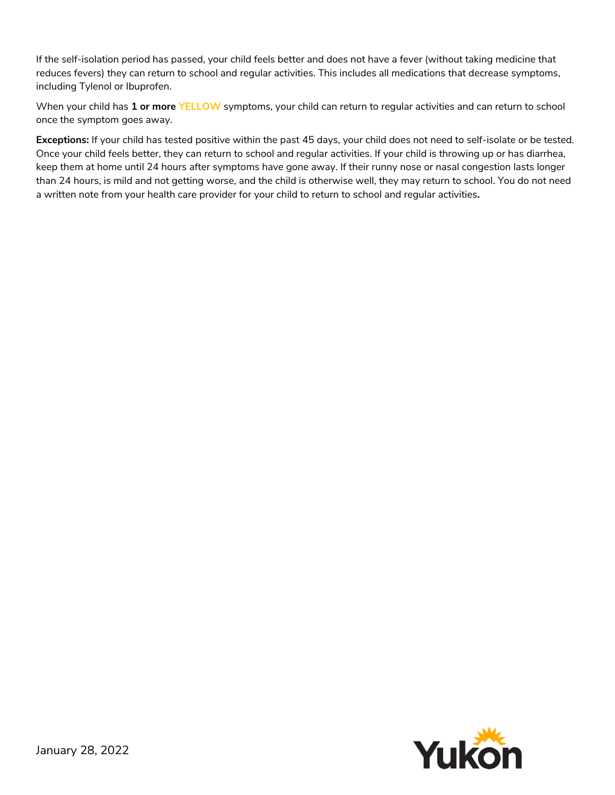If the self-isolation period has passed, your child feels better and does not have a fever (without taking medicine that reduces fevers) they can return to school and regular activities. This includes all medications that decrease symptoms, including Tylenol or Ibuprofen.

When your child has **1 or more YELLOW** symptoms, your child can return to regular activities and can return to school once the symptom goes away.

**Exceptions:** If your child has tested positive within the past 45 days, your child does not need to self-isolate or be tested. Once your child feels better, they can return to school and regular activities. If your child is throwing up or has diarrhea, keep them at home until 24 hours after symptoms have gone away. If their runny nose or nasal congestion lasts longer than 24 hours, is mild and not getting worse, and the child is otherwise well, they may return to school. You do not need a written note from your health care provider for your child to return to school and regular activities**.**